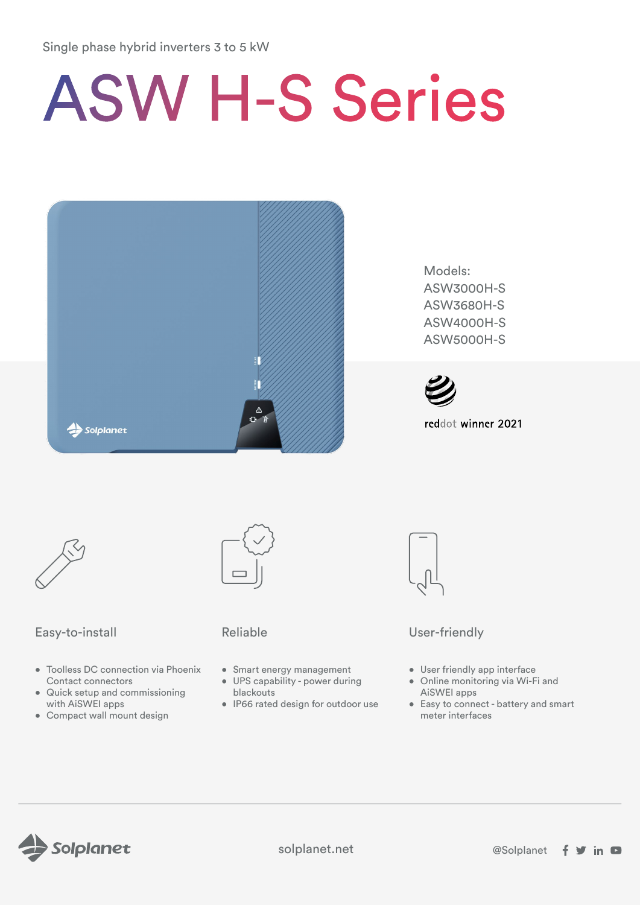# Single phase hybrid inverters 3 to 5 kW

# ASW H-S Series



Models: ASW3000H-S ASW3680H-S ASW4000H-S ASW5000H-S



reddot winner 2021



# Easy-to-install **Easy-to-install** Reliable Reliable User-friendly

- Toolless DC connection via Phoenix Contact connectors
- Quick setup and commissioning with AiSWEI apps
- Compact wall mount design



- Smart energy management
- UPS capability power during blackouts
- IP66 rated design for outdoor use



- User friendly app interface
- Online monitoring via Wi-Fi and AiSWEI apps
- Easy to connect battery and smart meter interfaces